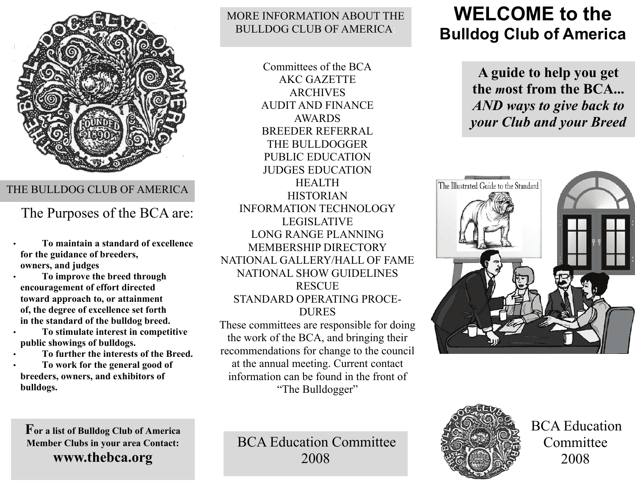

#### THE BULLDOG CLUB OF AMERICA

### The Purposes of the BCA are:

• **To maintain a standard of excellence for the guidance of breeders, owners, and judges** 

• **To improve the breed through encouragement of effort directed toward approach to, or attainment of, the degree of excellence set forth in the standard of the bulldog breed.** 

• **To stimulate interest in competitive public showings of bulldogs.** 

• **To further the interests of the Breed.** 

• **To work for the general good of breeders, owners, and exhibitors of bulldogs.**

#### MORE INFORMATION ABOUT THE BULLDOG CLUB OF AMERICA:

Committees of the BCA AKC GAZETTE ARCHIVES AUDIT AND FINANCE AWARDS BREEDER REFERRAL THE BULLDOGGER PUBLIC EDUCATION JUDGES EDUCATION HEALTH HISTORIAN INFORMATION TECHNOLOGY LEGISLATIVE LONG RANGE PLANNING MEMBERSHIP DIRECTORY NATIONAL GALLERY/HALL OF FAME NATIONAL SHOW GUIDELINES RESCUE STANDARD OPERATING PROCE-DURES

These committees are responsible for doing the work of the BCA, and bringing their recommendations for change to the council at the annual meeting. Current contact information can be found in the front of "The Bulldogger"

# **WELCOME to the Bulldog Club of America**

**A guide to help you get the** *m***ost from the BCA...**  *AND ways to give back to your Club and your Breed* 



**For a list of Bulldog Club of America Member Clubs in your area Contact: www.thebca.org**

BCA Education Committee 2008



BCA Education Committee 2008